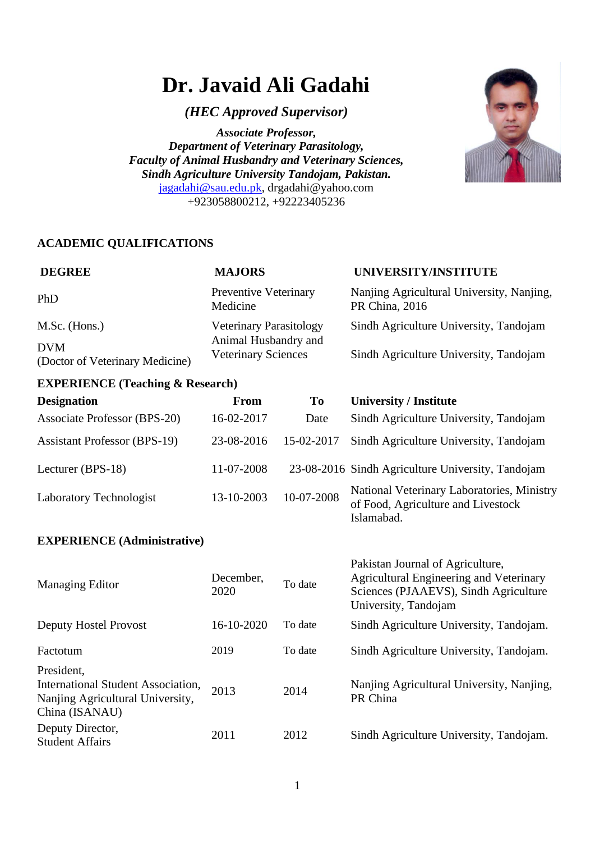# **Dr. Javaid Ali Gadahi**

*(HEC Approved Supervisor)*

*Associate Professor, Department of Veterinary Parasitology, Faculty of Animal Husbandry and Veterinary Sciences, Sindh Agriculture University Tandojam, Pakistan.* [jagadahi@sau.edu.pk,](mailto:jagadahi@sau.edu.pk) [drgadahi@yahoo.com](mailto:drgadahi@yahoo.com) +923058800212, +92223405236



# **ACADEMIC QUALIFICATIONS**

| <b>DEGREE</b>                                 | <b>MAJORS</b>                                      | UNIVERSITY/INSTITUTE                                        |
|-----------------------------------------------|----------------------------------------------------|-------------------------------------------------------------|
| PhD                                           | <b>Preventive Veterinary</b><br>Medicine           | Nanjing Agricultural University, Nanjing,<br>PR China, 2016 |
| M.Sc. (Hons.)                                 | <b>Veterinary Parasitology</b>                     | Sindh Agriculture University, Tandojam                      |
| <b>DVM</b><br>(Doctor of Veterinary Medicine) | Animal Husbandry and<br><b>Veterinary Sciences</b> | Sindh Agriculture University, Tandojam                      |

## **EXPERIENCE (Teaching & Research)**

| <b>Designation</b>                  | <b>From</b> | To         | <b>University / Institute</b>                                                                  |
|-------------------------------------|-------------|------------|------------------------------------------------------------------------------------------------|
| <b>Associate Professor (BPS-20)</b> | 16-02-2017  | Date       | Sindh Agriculture University, Tandojam                                                         |
| <b>Assistant Professor (BPS-19)</b> | 23-08-2016  | 15-02-2017 | Sindh Agriculture University, Tandojam                                                         |
| Lecturer (BPS-18)                   | 11-07-2008  |            | 23-08-2016 Sindh Agriculture University, Tandojam                                              |
| Laboratory Technologist             | 13-10-2003  | 10-07-2008 | National Veterinary Laboratories, Ministry<br>of Food, Agriculture and Livestock<br>Islamabad. |

## **EXPERIENCE (Administrative)**

| Managing Editor                                                                                        | December,<br>2020 | To date | Pakistan Journal of Agriculture,<br>Agricultural Engineering and Veterinary<br>Sciences (PJAAEVS), Sindh Agriculture<br>University, Tandojam |
|--------------------------------------------------------------------------------------------------------|-------------------|---------|----------------------------------------------------------------------------------------------------------------------------------------------|
| <b>Deputy Hostel Provost</b>                                                                           | 16-10-2020        | To date | Sindh Agriculture University, Tandojam.                                                                                                      |
| Factotum                                                                                               | 2019              | To date | Sindh Agriculture University, Tandojam.                                                                                                      |
| President,<br>International Student Association,<br>Nanjing Agricultural University,<br>China (ISANAU) | 2013              | 2014    | Nanjing Agricultural University, Nanjing,<br>PR China                                                                                        |
| Deputy Director,<br><b>Student Affairs</b>                                                             | 2011              | 2012    | Sindh Agriculture University, Tandojam.                                                                                                      |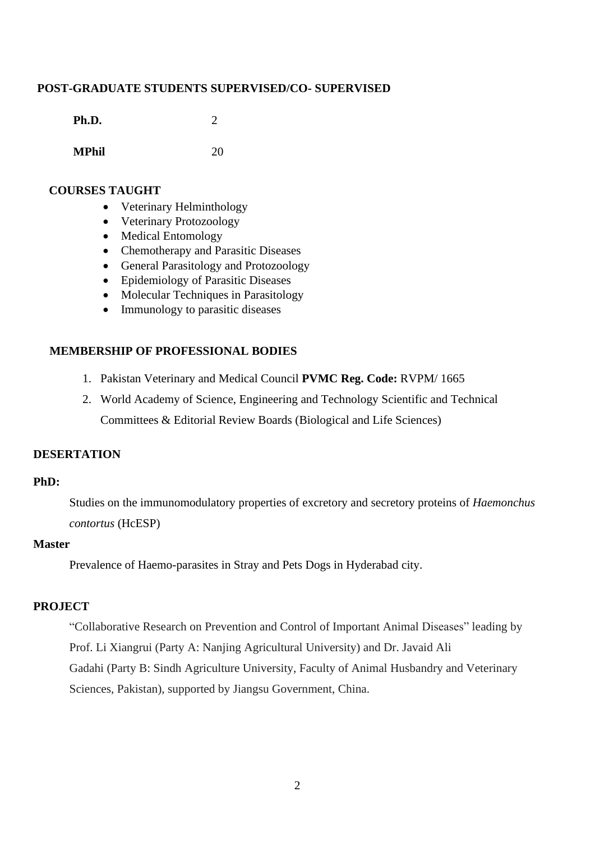### **POST-GRADUATE STUDENTS SUPERVISED/CO- SUPERVISED**

| Ph.D. | 2 |
|-------|---|
|       |   |
|       |   |

**MPhil** 20

#### **COURSES TAUGHT**

- Veterinary Helminthology
- Veterinary Protozoology
- Medical Entomology
- Chemotherapy and Parasitic Diseases
- General Parasitology and Protozoology
- Epidemiology of Parasitic Diseases
- Molecular Techniques in Parasitology
- Immunology to parasitic diseases

## **MEMBERSHIP OF PROFESSIONAL BODIES**

- 1. Pakistan Veterinary and Medical Council **PVMC Reg. Code:** RVPM/ 1665
- 2. [World Academy of Science, Engineering and Technology](http://www.waset.org/) [Scientific and Technical](http://www.waset.org/membership.php)  [Committees & Editorial Review Boards](http://www.waset.org/membership.php) (Biological and Life Sciences)

## **DESERTATION**

### **PhD:**

Studies on the immunomodulatory properties of excretory and secretory proteins of *Haemonchus contortus* (HcESP)

#### **Master**

Prevalence of Haemo-parasites in Stray and Pets Dogs in Hyderabad city.

### **PROJECT**

"Collaborative Research on Prevention and Control of Important Animal Diseases" leading by Prof. Li Xiangrui (Party A: Nanjing Agricultural University) and Dr. Javaid Ali Gadahi (Party B: Sindh Agriculture University, Faculty of Animal Husbandry and Veterinary Sciences, Pakistan), supported by Jiangsu Government, China.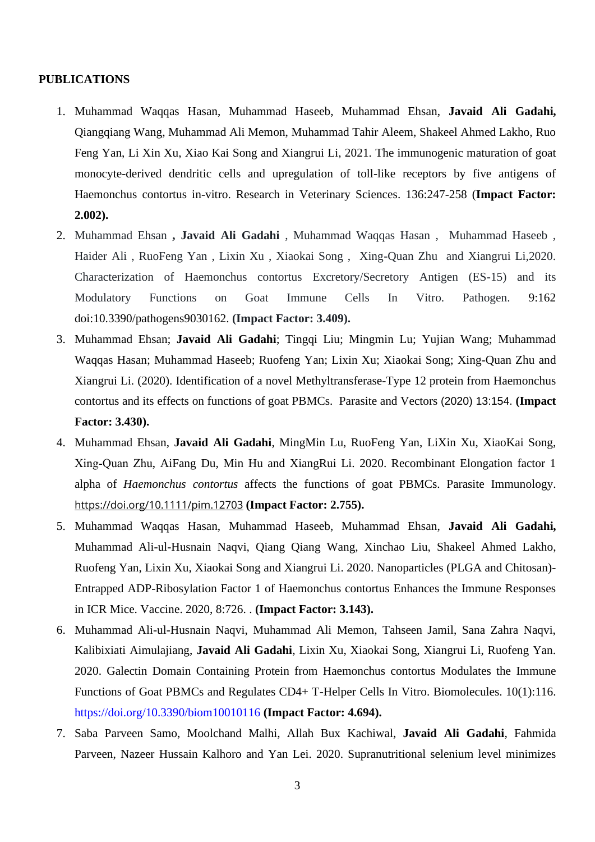#### **PUBLICATIONS**

- 1. Muhammad Waqqas Hasan, Muhammad Haseeb, Muhammad Ehsan, **Javaid Ali Gadahi,** Qiangqiang Wang, Muhammad Ali Memon, Muhammad Tahir Aleem, Shakeel Ahmed Lakho, Ruo Feng Yan, Li Xin Xu, Xiao Kai Song and Xiangrui Li, 2021. The immunogenic maturation of goat monocyte-derived dendritic cells and upregulation of toll-like receptors by five antigens of Haemonchus contortus in-vitro. Research in Veterinary Sciences. 136:247-258 (**Impact Factor: 2.002).**
- 2. Muhammad Ehsan **, Javaid Ali Gadahi** , Muhammad Waqqas Hasan , Muhammad Haseeb , Haider Ali , RuoFeng Yan , Lixin Xu , Xiaokai Song , Xing-Quan Zhu and Xiangrui Li,2020. Characterization of Haemonchus contortus Excretory/Secretory Antigen (ES-15) and its Modulatory Functions on Goat Immune Cells In Vitro. Pathogen. 9:162 doi:10.3390/pathogens9030162. **(Impact Factor: 3.409).**
- 3. Muhammad Ehsan; **Javaid Ali Gadahi**; Tingqi Liu; Mingmin Lu; Yujian Wang; Muhammad Waqqas Hasan; Muhammad Haseeb; Ruofeng Yan; Lixin Xu; Xiaokai Song; Xing-Quan Zhu and Xiangrui Li. (2020). Identification of a novel Methyltransferase-Type 12 protein from Haemonchus contortus and its effects on functions of goat PBMCs. Parasite and Vectors (2020) 13:154. **(Impact Factor: 3.430).**
- 4. [Muhammad](https://onlinelibrary.wiley.com/action/doSearch?ContribAuthorStored=Ehsan%2C+Muhammad) Ehsan, **[Javaid Ali Gadahi](https://onlinelibrary.wiley.com/action/doSearch?ContribAuthorStored=Gadahi%2C+Javaid+Ali)**, [MingMin Lu,](https://onlinelibrary.wiley.com/action/doSearch?ContribAuthorStored=Lu%2C+MingMin) [RuoFeng Yan,](https://onlinelibrary.wiley.com/action/doSearch?ContribAuthorStored=Yan%2C+RuoFeng) [LiXin Xu,](https://onlinelibrary.wiley.com/action/doSearch?ContribAuthorStored=Xu%2C+LiXin) [XiaoKai Song,](https://onlinelibrary.wiley.com/action/doSearch?ContribAuthorStored=Song%2C+XiaoKai) [Xing‐Quan Zhu,](https://onlinelibrary.wiley.com/action/doSearch?ContribAuthorStored=Zhu%2C+Xing-Quan) [AiFang Du,](https://onlinelibrary.wiley.com/action/doSearch?ContribAuthorStored=Du%2C+AiFang) [Min Hu](https://onlinelibrary.wiley.com/action/doSearch?ContribAuthorStored=Hu%2C+Min) and [XiangRui Li.](https://onlinelibrary.wiley.com/action/doSearch?ContribAuthorStored=Li%2C+XiangRui) 2020. Recombinant Elongation factor 1 alpha of *Haemonchus contortus* affects the functions of goat PBMCs. Parasite Immunology. <https://doi.org/10.1111/pim.12703> **(Impact Factor: 2.755).**
- 5. Muhammad Waqqas Hasan, Muhammad Haseeb, Muhammad Ehsan, **Javaid Ali Gadahi,** Muhammad Ali-ul-Husnain Naqvi, Qiang Qiang Wang, Xinchao Liu, Shakeel Ahmed Lakho, Ruofeng Yan, Lixin Xu, Xiaokai Song and Xiangrui Li. 2020. Nanoparticles (PLGA and Chitosan)- Entrapped ADP-Ribosylation Factor 1 of Haemonchus contortus Enhances the Immune Responses in ICR Mice. Vaccine. 2020, 8:726. . **(Impact Factor: 3.143).**
- 6. Muhammad Ali-ul-Husnain Naqvi, Muhammad Ali Memon, Tahseen Jamil, Sana Zahra Naqvi, Kalibixiati Aimulajiang, **Javaid Ali Gadahi**, Lixin Xu, Xiaokai Song, Xiangrui Li, Ruofeng Yan. 2020. [Galectin Domain Containing Protein from Haemonchus contortus Modulates the Immune](https://www.mdpi.com/2218-273X/10/1/116)  [Functions of Goat PBMCs and Regulates CD4+ T-Helper Cells In Vitro.](https://www.mdpi.com/2218-273X/10/1/116) Biomolecules. 10(1):116. <https://doi.org/10.3390/biom10010116> **(Impact Factor: 4.694).**
- 7. Saba Parveen Samo, Moolchand Malhi, Allah Bux Kachiwal, **Javaid Ali Gadahi**, Fahmida Parveen, Nazeer Hussain Kalhoro and Yan Lei. 2020. Supranutritional selenium level minimizes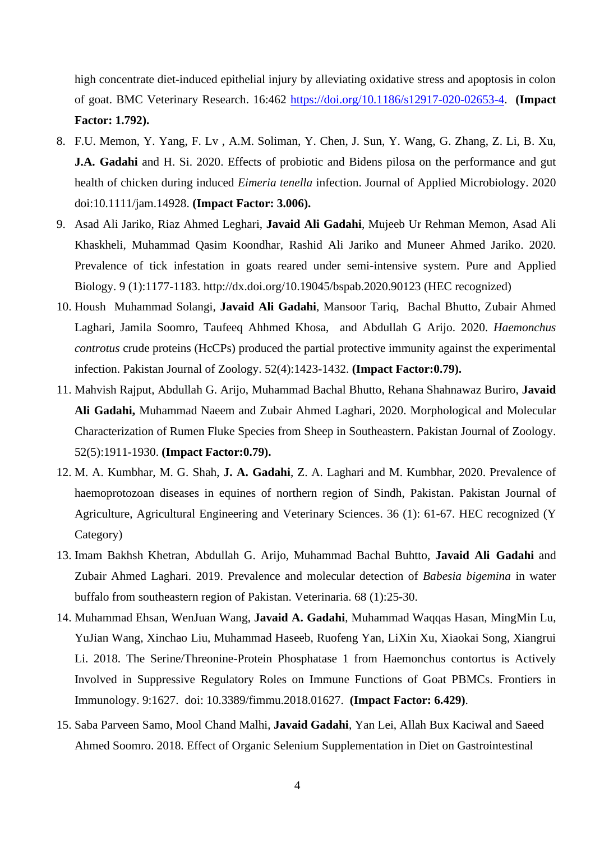high concentrate diet-induced epithelial injury by alleviating oxidative stress and apoptosis in colon of goat. BMC Veterinary Research. 16:462 [https://doi.org/10.1186/s12917-020-02653-4.](https://doi.org/10.1186/s12917-020-02653-4) **(Impact Factor: 1.792).**

- 8. F.U. Memon, Y. Yang, F. Lv , A.M. Soliman, Y. Chen, J. Sun, Y. Wang, G. Zhang, Z. Li, B. Xu, **J.A. Gadahi** and H. Si. 2020. Effects of probiotic and Bidens pilosa on the performance and gut health of chicken during induced *Eimeria tenella* infection. Journal of Applied Microbiology. 2020 doi:10.1111/jam.14928. **(Impact Factor: 3.006).**
- 9. Asad Ali Jariko, Riaz Ahmed Leghari, **Javaid Ali Gadahi**, Mujeeb Ur Rehman Memon, Asad Ali Khaskheli, Muhammad Qasim Koondhar, Rashid Ali Jariko and Muneer Ahmed Jariko. 2020. Prevalence of tick infestation in goats reared under semi-intensive system. Pure and Applied Biology. [9 \(1\):1177-1183.](https://scholar.google.com/scholar?oi=bibs&cluster=5464567372943856730&btnI=1&hl=en)<http://dx.doi.org/10.19045/bspab.2020.90123> (HEC recognized)
- 10. Housh Muhammad Solangi, **Javaid Ali Gadahi**, Mansoor Tariq, Bachal Bhutto, Zubair Ahmed Laghari, Jamila Soomro, Taufeeq Ahhmed Khosa, and Abdullah G Arijo. 2020. *Haemonchus controtus* crude proteins (HcCPs) produced the partial protective immunity against the experimental infection. Pakistan Journal of Zoology. 52(4):1423-1432. **(Impact Factor:0.79).**
- 11. Mahvish Rajput, Abdullah G. Arijo, Muhammad Bachal Bhutto, Rehana Shahnawaz Buriro, **Javaid Ali Gadahi,** Muhammad Naeem and Zubair Ahmed Laghari, 2020. Morphological and Molecular Characterization of Rumen Fluke Species from Sheep in Southeastern. Pakistan Journal of Zoology. 52(5):1911-1930. **(Impact Factor:0.79).**
- 12. M. A. Kumbhar, M. G. Shah, **J. A. Gadahi**, Z. A. Laghari and M. Kumbhar, 2020. Prevalence of haemoprotozoan diseases in equines of northern region of Sindh, Pakistan. Pakistan Journal of Agriculture, Agricultural Engineering and Veterinary Sciences. 36 (1): 61-67. HEC recognized (Y Category)
- 13. Imam Bakhsh Khetran, Abdullah G. Arijo, Muhammad Bachal Buhtto, **Javaid Ali Gadahi** and Zubair Ahmed Laghari. 2019. Prevalence and molecular detection of *Babesia bigemina* in water buffalo from southeastern region of Pakistan. Veterinaria. 68 (1):25-30.
- 14. Muhammad Ehsan, WenJuan Wang, **Javaid A. Gadahi**, Muhammad Waqqas Hasan, MingMin Lu, YuJian Wang, Xinchao Liu, Muhammad Haseeb, Ruofeng Yan, LiXin Xu, Xiaokai Song, Xiangrui Li. 2018. The Serine/Threonine-Protein Phosphatase 1 from Haemonchus contortus is Actively Involved in Suppressive Regulatory Roles on Immune Functions of Goat PBMCs. Frontiers in Immunology. 9:1627. doi: 10.3389/fimmu.2018.01627. **(Impact Factor: 6.429)**.
- 15. Saba Parveen Samo, Mool Chand Malhi, **Javaid Gadahi**, Yan Lei, Allah Bux Kaciwal and Saeed Ahmed Soomro. 2018. Effect of Organic Selenium Supplementation in Diet on Gastrointestinal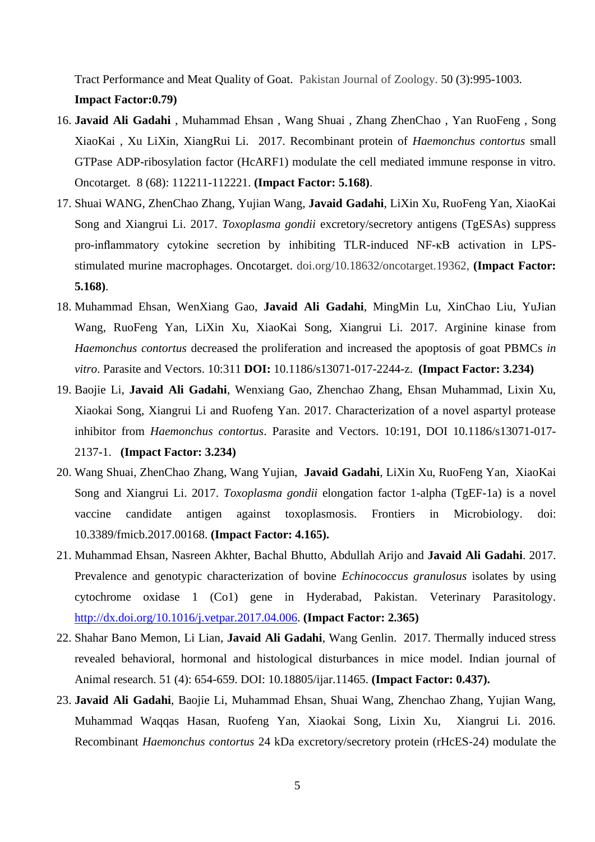Tract Performance and Meat Quality of Goat. Pakistan Journal of Zoology. 50 (3):995-1003. **Impact Factor:0.79)**

- 16. **Javaid Ali Gadahi** , Muhammad Ehsan , Wang Shuai , Zhang ZhenChao , Yan RuoFeng , Song XiaoKai , Xu LiXin, XiangRui Li. 2017. Recombinant protein of *Haemonchus contortus* small GTPase ADP-ribosylation factor (HcARF1) modulate the cell mediated immune response in vitro. Oncotarget. 8 (68): 112211-112221. **(Impact Factor: 5.168)**.
- 17. Shuai WANG, ZhenChao Zhang, Yujian Wang, **Javaid Gadahi**, LiXin Xu, RuoFeng Yan, XiaoKai Song and Xiangrui Li. 2017. *Toxoplasma gondii* excretory/secretory antigens (TgESAs) suppress pro-inflammatory cytokine secretion by inhibiting TLR-induced NF-κB activation in LPSstimulated murine macrophages. Oncotarget. doi.org/10.18632/oncotarget.19362, **(Impact Factor: 5.168)**.
- 18. Muhammad Ehsan, WenXiang Gao, **Javaid Ali Gadahi**, MingMin Lu, XinChao Liu, YuJian Wang, RuoFeng Yan, LiXin Xu, XiaoKai Song, Xiangrui Li. 2017. Arginine kinase from *Haemonchus contortus* decreased the proliferation and increased the apoptosis of goat PBMCs *in vitro*. Parasite and Vectors. 10:311 **DOI:** 10.1186/s13071-017-2244-z. **(Impact Factor: 3.234)**
- 19. Baojie Li, **Javaid Ali Gadahi**, Wenxiang Gao, Zhenchao Zhang, Ehsan Muhammad, Lixin Xu, Xiaokai Song, Xiangrui Li and Ruofeng Yan. 2017. Characterization of a novel aspartyl protease inhibitor from *Haemonchus contortus*. Parasite and Vectors. 10:191, DOI 10.1186/s13071-017- 2137-1. **(Impact Factor: 3.234)**
- 20. Wang Shuai, ZhenChao Zhang, Wang Yujian, **Javaid Gadahi**, LiXin Xu, RuoFeng Yan, XiaoKai Song and Xiangrui Li. 2017. *Toxoplasma gondii* elongation factor 1-alpha (TgEF-1a) is a novel vaccine candidate antigen against toxoplasmosis. Frontiers in Microbiology. doi: 10.3389/fmicb.2017.00168. **(Impact Factor: 4.165).**
- 21. Muhammad Ehsan, Nasreen Akhter, Bachal Bhutto, Abdullah Arijo and **Javaid Ali Gadahi**. 2017. Prevalence and genotypic characterization of bovine *Echinococcus granulosus* isolates by using cytochrome oxidase 1 (Co1) gene in Hyderabad, Pakistan. Veterinary Parasitology. [http://dx.doi.org/10.1016/j.vetpar.2017.04.006.](http://dx.doi.org/10.1016/j.vetpar.2017.04.006) **(Impact Factor: 2.365)**
- 22. Shahar Bano Memon, Li Lian, **Javaid Ali Gadahi**, Wang Genlin. 2017. Thermally induced stress revealed behavioral, hormonal and histological disturbances in mice model. Indian journal of Animal research. 51 (4): 654-659. DOI: 10.18805/ijar.11465. **(Impact Factor: 0.437).**
- 23. **Javaid Ali Gadahi**, Baojie Li, Muhammad Ehsan, Shuai Wang, Zhenchao Zhang, Yujian Wang, Muhammad Waqqas Hasan, Ruofeng Yan, Xiaokai Song, Lixin Xu, Xiangrui Li. 2016. Recombinant *Haemonchus contortus* 24 kDa excretory/secretory protein (rHcES-24) modulate the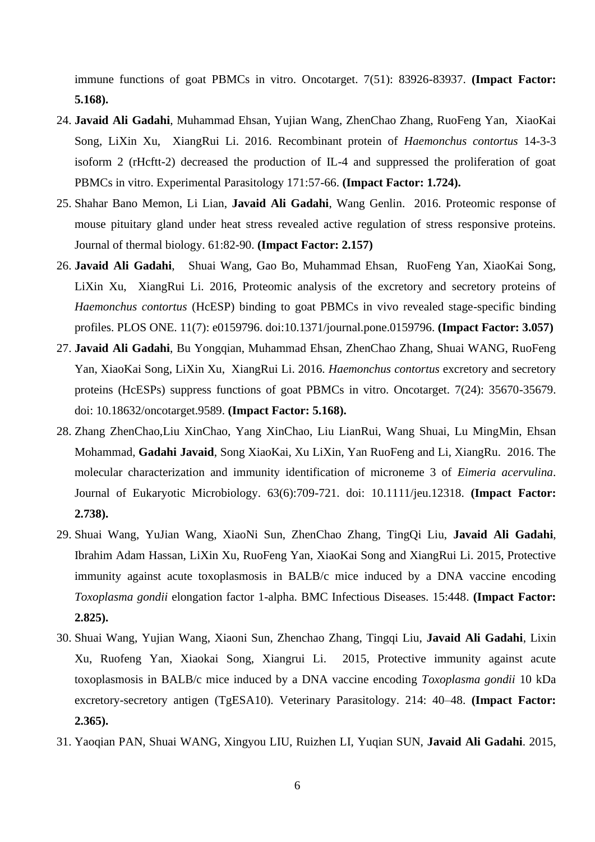immune functions of goat PBMCs in vitro. Oncotarget. 7(51): 83926-83937. **(Impact Factor: 5.168).**

- 24. **Javaid Ali Gadahi**, Muhammad Ehsan, Yujian Wang, ZhenChao Zhang, RuoFeng Yan, XiaoKai Song, LiXin Xu, XiangRui Li. 2016. Recombinant protein of *Haemonchus contortus* 14-3-3 isoform 2 (rHcftt-2) decreased the production of IL-4 and suppressed the proliferation of goat PBMCs in vitro. Experimental Parasitology 171:57-66. **(Impact Factor: 1.724).**
- 25. Shahar Bano Memon, Li Lian, **Javaid Ali Gadahi**, Wang Genlin. 2016. Proteomic response of mouse pituitary gland under heat stress revealed active regulation of stress responsive proteins. Journal of thermal biology. 61:82-90. **(Impact Factor: 2.157)**
- 26. **Javaid Ali Gadahi**, Shuai Wang, Gao Bo, Muhammad Ehsan, RuoFeng Yan, XiaoKai Song, LiXin Xu, XiangRui Li. 2016, Proteomic analysis of the excretory and secretory proteins of *Haemonchus contortus* (HcESP) binding to goat PBMCs in vivo revealed stage-specific binding profiles. PLOS ONE. 11(7): e0159796. doi:10.1371/journal.pone.0159796. **(Impact Factor: 3.057)**
- 27. **Javaid Ali Gadahi**, Bu Yongqian, Muhammad Ehsan, ZhenChao Zhang, Shuai WANG, RuoFeng Yan, XiaoKai Song, LiXin Xu, XiangRui Li. 2016. *Haemonchus contortus* excretory and secretory proteins (HcESPs) suppress functions of goat PBMCs in vitro. Oncotarget. 7(24): 35670-35679. doi: 10.18632/oncotarget.9589. **(Impact Factor: 5.168).**
- 28. Zhang ZhenChao,Liu XinChao, Yang XinChao, Liu LianRui, Wang Shuai, Lu MingMin, Ehsan Mohammad, **Gadahi Javaid**, Song XiaoKai, Xu LiXin, Yan RuoFeng and Li, XiangRu. 2016. The molecular characterization and immunity identification of microneme 3 of *Eimeria acervulina*. Journal of Eukaryotic Microbiology. 63(6):709-721. doi: 10.1111/jeu.12318. **(Impact Factor: 2.738).**
- 29. Shuai Wang, YuJian Wang, XiaoNi Sun, ZhenChao Zhang, TingQi Liu, **Javaid Ali Gadahi**, Ibrahim Adam Hassan, LiXin Xu, RuoFeng Yan, XiaoKai Song and XiangRui Li. 2015, Protective immunity against acute toxoplasmosis in BALB/c mice induced by a DNA vaccine encoding *Toxoplasma gondii* elongation factor 1-alpha. BMC Infectious Diseases. 15:448. **(Impact Factor: 2.825).**
- 30. Shuai Wang, Yujian Wang, Xiaoni Sun, Zhenchao Zhang, Tingqi Liu, **Javaid Ali Gadahi**, Lixin Xu, Ruofeng Yan, Xiaokai Song, Xiangrui Li. 2015, Protective immunity against acute toxoplasmosis in BALB/c mice induced by a DNA vaccine encoding *Toxoplasma gondii* 10 kDa excretory-secretory antigen (TgESA10). Veterinary Parasitology. 214: 40–48. **(Impact Factor: 2.365).**
- 31. Yaoqian PAN, Shuai WANG, Xingyou LIU, Ruizhen LI, Yuqian SUN, **Javaid Ali Gadahi**. 2015,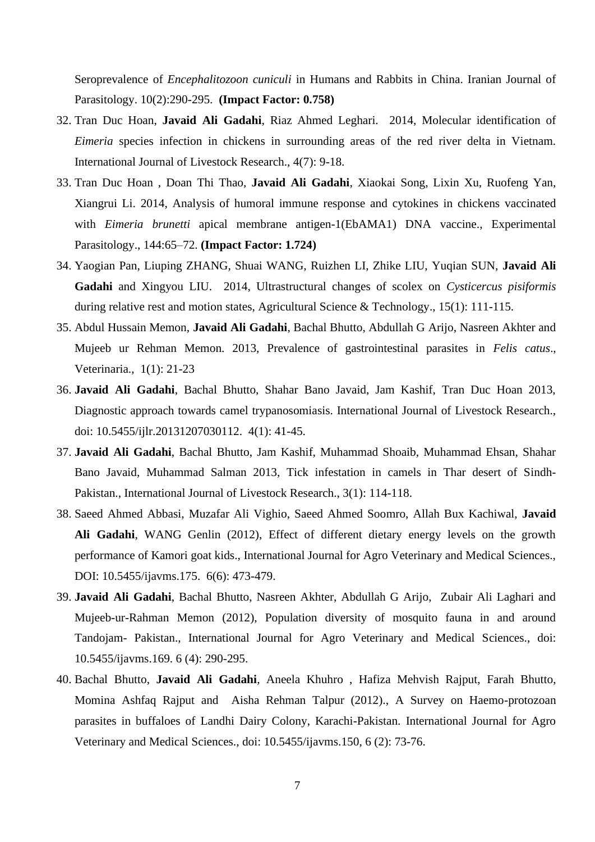Seroprevalence of *Encephalitozoon cuniculi* in Humans and Rabbits in China. Iranian Journal of Parasitology. 10(2):290-295. **(Impact Factor: 0.758)**

- 32. Tran Duc Hoan, **Javaid Ali Gadahi**, Riaz Ahmed Leghari. 2014, Molecular identification of *Eimeria* species infection in chickens in surrounding areas of the red river delta in Vietnam. International Journal of Livestock Research., 4(7): 9-18.
- 33. Tran Duc Hoan , Doan Thi Thao, **Javaid Ali Gadahi**, Xiaokai Song, Lixin Xu, Ruofeng Yan, Xiangrui Li. 2014, Analysis of humoral immune response and cytokines in chickens vaccinated with *Eimeria brunetti* apical membrane antigen-1(EbAMA1) DNA vaccine., Experimental Parasitology., 144:65–72. **(Impact Factor: 1.724)**
- 34. Yaogian Pan, Liuping ZHANG, Shuai WANG, Ruizhen LI, Zhike LIU, Yuqian SUN, **Javaid Ali Gadahi** and Xingyou LIU. 2014, Ultrastructural changes of scolex on *Cysticercus pisiformis* during relative rest and motion states, Agricultural Science & Technology., 15(1): 111-115.
- 35. Abdul Hussain Memon, **Javaid Ali Gadahi**, Bachal Bhutto, Abdullah G Arijo, Nasreen Akhter and Mujeeb ur Rehman Memon. 2013, Prevalence of gastrointestinal parasites in *Felis catus*., Veterinaria., 1(1): 21-23
- 36. **Javaid Ali Gadahi**, Bachal Bhutto, Shahar Bano Javaid, Jam Kashif, Tran Duc Hoan 2013, Diagnostic approach towards camel trypanosomiasis. International Journal of Livestock Research., doi: 10.5455/ijlr.20131207030112. 4(1): 41-45.
- 37. **Javaid Ali Gadahi**, Bachal Bhutto, Jam Kashif, Muhammad Shoaib, Muhammad Ehsan, Shahar Bano Javaid, Muhammad Salman 2013, Tick infestation in camels in Thar desert of Sindh-Pakistan., International Journal of Livestock Research., 3(1): 114-118.
- 38. Saeed Ahmed Abbasi, Muzafar Ali Vighio, Saeed Ahmed Soomro, Allah Bux Kachiwal, **Javaid Ali Gadahi**, WANG Genlin (2012), Effect of different dietary energy levels on the growth performance of Kamori goat kids., International Journal for Agro Veterinary and Medical Sciences., DOI: 10.5455/ijavms.175. 6(6): 473-479.
- 39. **Javaid Ali Gadahi**, Bachal Bhutto, Nasreen Akhter, Abdullah G Arijo, Zubair Ali Laghari and Mujeeb-ur-Rahman Memon (2012), Population diversity of mosquito fauna in and around Tandojam- Pakistan., International Journal for Agro Veterinary and Medical Sciences., doi: 10.5455/ijavms.169. 6 (4): 290-295.
- 40. Bachal Bhutto, **Javaid Ali Gadahi**, Aneela Khuhro , Hafiza Mehvish Rajput, Farah Bhutto, Momina Ashfaq Rajput and Aisha Rehman Talpur (2012)., A Survey on Haemo-protozoan parasites in buffaloes of Landhi Dairy Colony, Karachi-Pakistan. International Journal for Agro Veterinary and Medical Sciences., doi: 10.5455/ijavms.150, 6 (2): 73-76.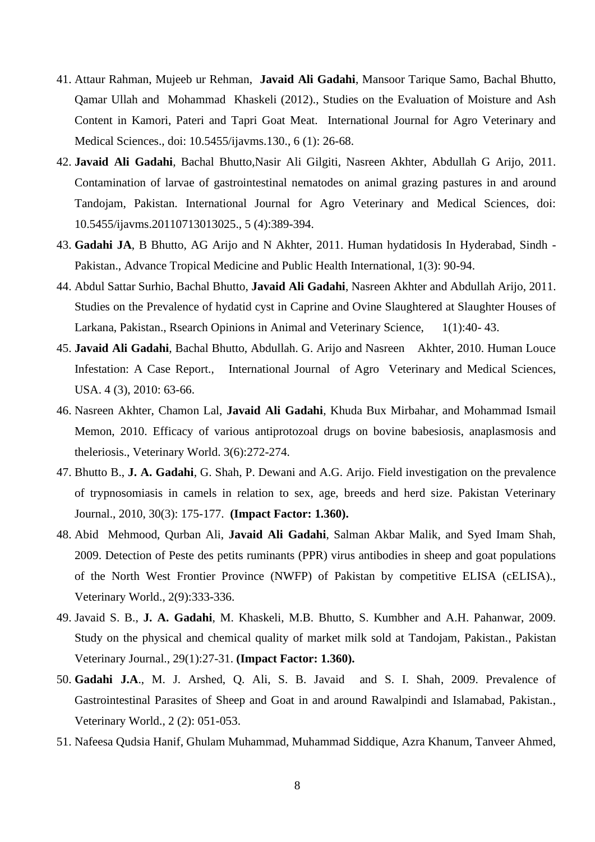- 41. Attaur Rahman, Mujeeb ur Rehman, **Javaid Ali Gadahi**, Mansoor Tarique Samo, Bachal Bhutto, Qamar Ullah and Mohammad Khaskeli (2012)., Studies on the Evaluation of Moisture and Ash Content in Kamori, Pateri and Tapri Goat Meat. International Journal for Agro Veterinary and Medical Sciences., doi: 10.5455/ijavms.130., 6 (1): 26-68.
- 42. **Javaid Ali Gadahi**, Bachal Bhutto,Nasir Ali Gilgiti, Nasreen Akhter, Abdullah G Arijo, 2011. Contamination of larvae of gastrointestinal nematodes on animal grazing pastures in and around Tandojam, Pakistan. International Journal for Agro Veterinary and Medical Sciences, doi: 10.5455/ijavms.20110713013025., 5 (4):389-394.
- 43. **Gadahi JA**, B Bhutto, AG Arijo and N Akhter, 2011. Human hydatidosis In Hyderabad, Sindh Pakistan., Advance Tropical Medicine and Public Health International, 1(3): 90-94.
- 44. Abdul Sattar Surhio, Bachal Bhutto, **Javaid Ali Gadahi**, Nasreen Akhter and Abdullah Arijo, 2011. Studies on the Prevalence of hydatid cyst in Caprine and Ovine Slaughtered at Slaughter Houses of Larkana, Pakistan., Rsearch Opinions in Animal and Veterinary Science, 1(1):40- 43.
- 45. **Javaid Ali Gadahi**, Bachal Bhutto, Abdullah. G. Arijo and Nasreen Akhter, 2010. Human Louce Infestation: A Case Report., International Journal of Agro Veterinary and Medical Sciences, USA. 4 (3), 2010: 63-66.
- 46. Nasreen Akhter, Chamon Lal, **Javaid Ali Gadahi**, Khuda Bux Mirbahar, and Mohammad Ismail Memon, 2010. Efficacy of various antiprotozoal drugs on bovine babesiosis, anaplasmosis and theleriosis., Veterinary World. 3(6):272-274.
- 47. Bhutto B., **J. A. Gadahi**, G. Shah, P. Dewani and A.G. Arijo. Field investigation on the prevalence of trypnosomiasis in camels in relation to sex, age, breeds and herd size. Pakistan Veterinary Journal., 2010, 30(3): 175-177. **(Impact Factor: 1.360).**
- 48. Abid Mehmood, Qurban Ali, **Javaid Ali Gadahi**, Salman Akbar Malik, and Syed Imam Shah, 2009. Detection of Peste des petits ruminants (PPR) virus antibodies in sheep and goat populations of the North West Frontier Province (NWFP) of Pakistan by competitive ELISA (cELISA)., Veterinary World., 2(9):333-336.
- 49. Javaid S. B., **J. A. Gadahi**, M. Khaskeli, M.B. Bhutto, S. Kumbher and A.H. Pahanwar, 2009. Study on the physical and chemical quality of market milk sold at Tandojam, Pakistan., Pakistan Veterinary Journal., 29(1):27-31. **(Impact Factor: 1.360).**
- 50. **Gadahi J.A**., M. J. Arshed, Q. Ali, S. B. Javaid and S. I. Shah, 2009. Prevalence of Gastrointestinal Parasites of Sheep and Goat in and around Rawalpindi and Islamabad, Pakistan., Veterinary World., 2 (2): 051-053.
- 51. Nafeesa Qudsia Hanif, Ghulam Muhammad, Muhammad Siddique, Azra Khanum, Tanveer Ahmed,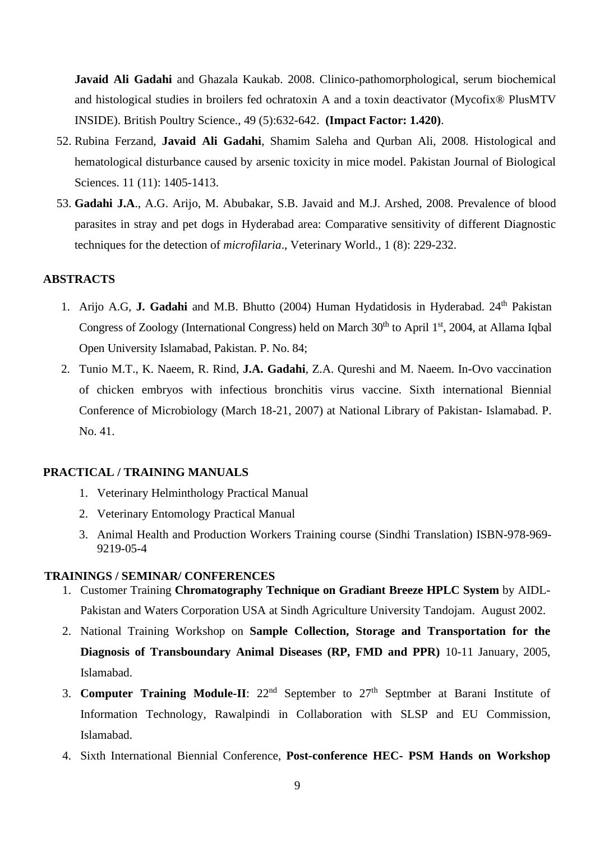**Javaid Ali Gadahi** and Ghazala Kaukab. 2008. Clinico-pathomorphological, serum biochemical and histological studies in broilers fed ochratoxin A and a toxin deactivator (Mycofix® PlusMTV INSIDE). British Poultry Science., 49 (5):632-642. **(Impact Factor: 1.420)**.

- 52. Rubina Ferzand, **Javaid Ali Gadahi**, Shamim Saleha and Qurban Ali, 2008. Histological and hematological disturbance caused by arsenic toxicity in mice model. Pakistan Journal of Biological Sciences. 11 (11): 1405-1413.
- 53. **Gadahi J.A**., A.G. Arijo, M. Abubakar, S.B. Javaid and M.J. Arshed, 2008. Prevalence of blood parasites in stray and pet dogs in Hyderabad area: Comparative sensitivity of different Diagnostic techniques for the detection of *microfilaria*., Veterinary World., 1 (8): 229-232.

## **ABSTRACTS**

- 1. Arijo A.G, J. Gadahi and M.B. Bhutto (2004) Human Hydatidosis in Hyderabad. 24<sup>th</sup> Pakistan Congress of Zoology (International Congress) held on March 30<sup>th</sup> to April 1<sup>st</sup>, 2004, at Allama Iqbal Open University Islamabad, Pakistan. P. No. 84;
- 2. Tunio M.T., K. Naeem, R. Rind, **J.A. Gadahi**, Z.A. Qureshi and M. Naeem. In-Ovo vaccination of chicken embryos with infectious bronchitis virus vaccine. Sixth international Biennial Conference of Microbiology (March 18-21, 2007) at National Library of Pakistan- Islamabad. P. No. 41.

#### **PRACTICAL / TRAINING MANUALS**

- 1. Veterinary Helminthology Practical Manual
- 2. Veterinary Entomology Practical Manual
- 3. Animal Health and Production Workers Training course (Sindhi Translation) ISBN-978-969- 9219-05-4

#### **TRAININGS / SEMINAR/ CONFERENCES**

- 1. Customer Training **Chromatography Technique on Gradiant Breeze HPLC System** by AIDL-Pakistan and Waters Corporation USA at Sindh Agriculture University Tandojam. August 2002.
- 2. National Training Workshop on **Sample Collection, Storage and Transportation for the Diagnosis of Transboundary Animal Diseases (RP, FMD and PPR)** 10-11 January, 2005, Islamabad.
- 3. **Computer Training Module-II**: 22<sup>nd</sup> September to 27<sup>th</sup> Septmber at Barani Institute of Information Technology, Rawalpindi in Collaboration with SLSP and EU Commission, Islamabad.
- 4. Sixth International Biennial Conference, **Post-conference HEC- PSM Hands on Workshop**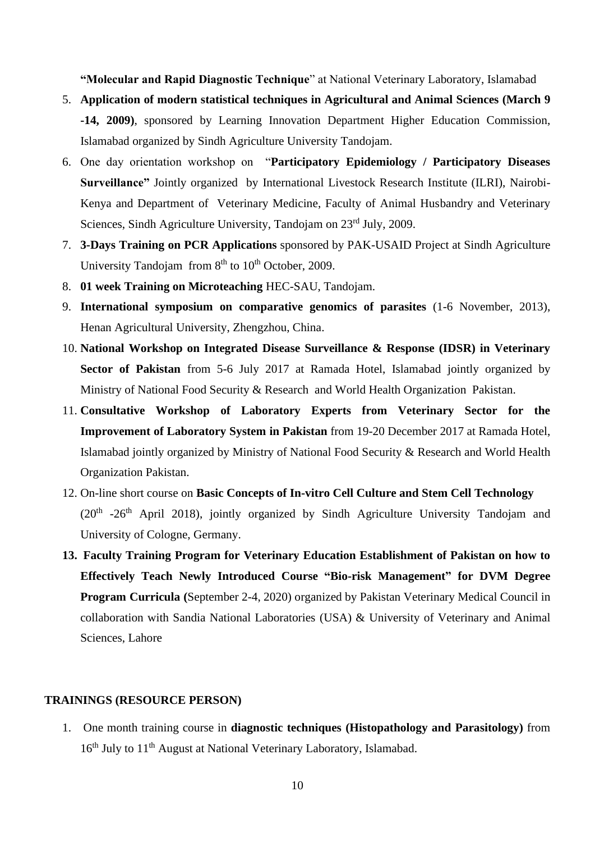**"Molecular and Rapid Diagnostic Technique**" at National Veterinary Laboratory, Islamabad

- 5. **Application of modern statistical techniques in Agricultural and Animal Sciences (March 9 -14, 2009)**, sponsored by Learning Innovation Department Higher Education Commission, Islamabad organized by Sindh Agriculture University Tandojam.
- 6. One day orientation workshop on "**Participatory Epidemiology / Participatory Diseases Surveillance"** Jointly organized by International Livestock Research Institute (ILRI), Nairobi-Kenya and Department of Veterinary Medicine, Faculty of Animal Husbandry and Veterinary Sciences, Sindh Agriculture University, Tandojam on 23<sup>rd</sup> July, 2009.
- 7. **3-Days Training on PCR Applications** sponsored by PAK-USAID Project at Sindh Agriculture University Tandojam from  $8<sup>th</sup>$  to  $10<sup>th</sup>$  October, 2009.
- 8. **01 week Training on Microteaching** HEC-SAU, Tandojam.
- 9. **International symposium on comparative genomics of parasites** (1-6 November, 2013), Henan Agricultural University, Zhengzhou, China.
- 10. **National Workshop on Integrated Disease Surveillance & Response (IDSR) in Veterinary**  Sector of Pakistan from 5-6 July 2017 at Ramada Hotel, Islamabad jointly organized by Ministry of National Food Security & Research and World Health Organization Pakistan.
- 11. **Consultative Workshop of Laboratory Experts from Veterinary Sector for the Improvement of Laboratory System in Pakistan** from 19-20 December 2017 at Ramada Hotel, Islamabad jointly organized by Ministry of National Food Security & Research and World Health Organization Pakistan.
- 12. On-line short course on **Basic Concepts of In-vitro Cell Culture and Stem Cell Technology**  $(20<sup>th</sup> -26<sup>th</sup>$  April 2018), jointly organized by Sindh Agriculture University Tandojam and University of Cologne, Germany.
- **13. Faculty Training Program for Veterinary Education Establishment of Pakistan on how to Effectively Teach Newly Introduced Course "Bio-risk Management" for DVM Degree Program Curricula (**September 2-4, 2020) organized by Pakistan Veterinary Medical Council in collaboration with Sandia National Laboratories (USA) & University of Veterinary and Animal Sciences, Lahore

#### **TRAININGS (RESOURCE PERSON)**

1. One month training course in **diagnostic techniques (Histopathology and Parasitology)** from 16<sup>th</sup> July to 11<sup>th</sup> August at National Veterinary Laboratory, Islamabad.